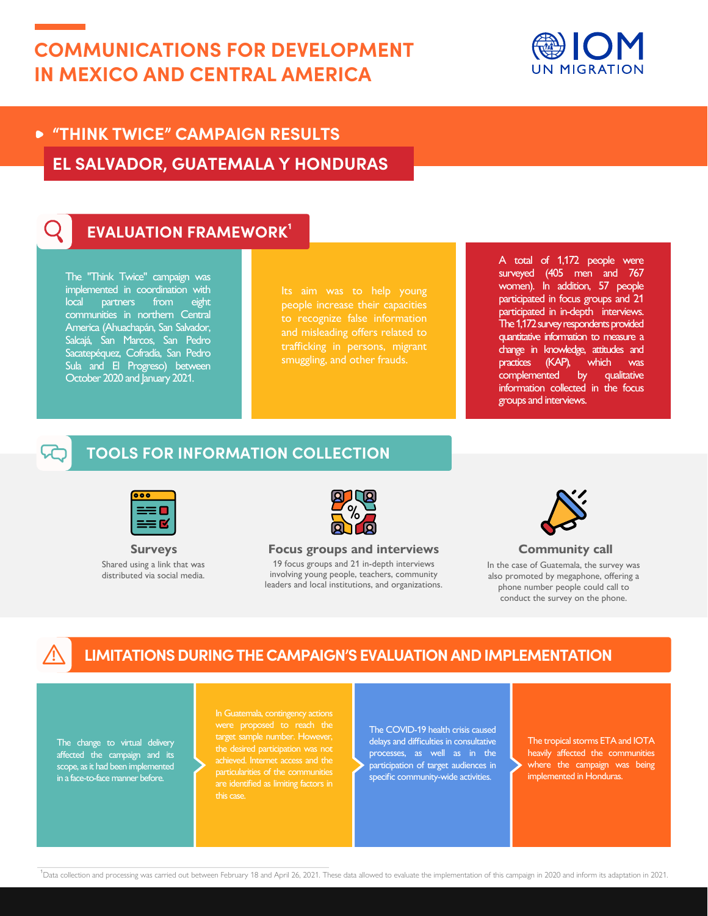# **COMMUNICATIONS FOR DEVELOPMENT IN MEXICO AND CENTRAL AMERICA**



## **"THINK TWICE" CAMPAIGN RESULTS EL SALVADOR, GUATEMALA Y HONDURAS**



#### **EVALUATION FRAMEWORK**

The "Think Twice" campaign was implemented in coordination with local partners from eight communities in northern Central America (Ahuachapán, San Salvador, Salcajá, San Marcos, San Pedro Sacatepéquez, Cofradía, San Pedro Sula and El Progreso) between October 2020 and January 2021.

Its aim was to help young people increase their capacities to recognize false information and misleading offers related to trafficking in persons, migrant smuggling, and other frauds.

A total of 1,172 people were surveyed (405 men and 767 women). In addition, 57 people participated in focus groups and 21 participated in in-depth interviews. The 1,172 survey respondents provided quantitative information to measure a change in knowledge, attitudes and practices (KAP), which was complemented by qualitative information collected in the focus groups and interviews.

#### **TOOLS FOR INFORMATION COLLECTION**



**Surveys** Shared using a link that was distributed via social media.



**Focus groups and interviews**

19 focus groups and 21 in-depth interviews involving young people, teachers, community leaders and local institutions, and organizations.



**Community call**

In the case of Guatemala, the survey was also promoted by megaphone, offering a phone number people could call to conduct the survey on the phone.

#### **! LIMITATIONS DURING THE CAMPAIGN'S EVALUATION AND IMPLEMENTATION**

The change to virtual delivery affected the campaign and its scope, as it had been implemented in a face-to-face manner before.

In Guatemala, contingency actions target sample number. However, the desired participation was not achieved. Internet access and the particularities of the communities are identified as limiting factors in this case.

The COVID-19 health crisis caused delays and difficulties in consultative processes, as well as in the participation of target audiences in specific community-wide activities.

The tropical storms ETA and IOTA heavily affected the communities where the campaign was being implemented in Honduras.

<sup>1</sup>Data collection and processing was carried out between February 18 and April 26, 2021. These data allowed to evaluate the implementation of this campaign in 2020 and inform its adaptation in 2021.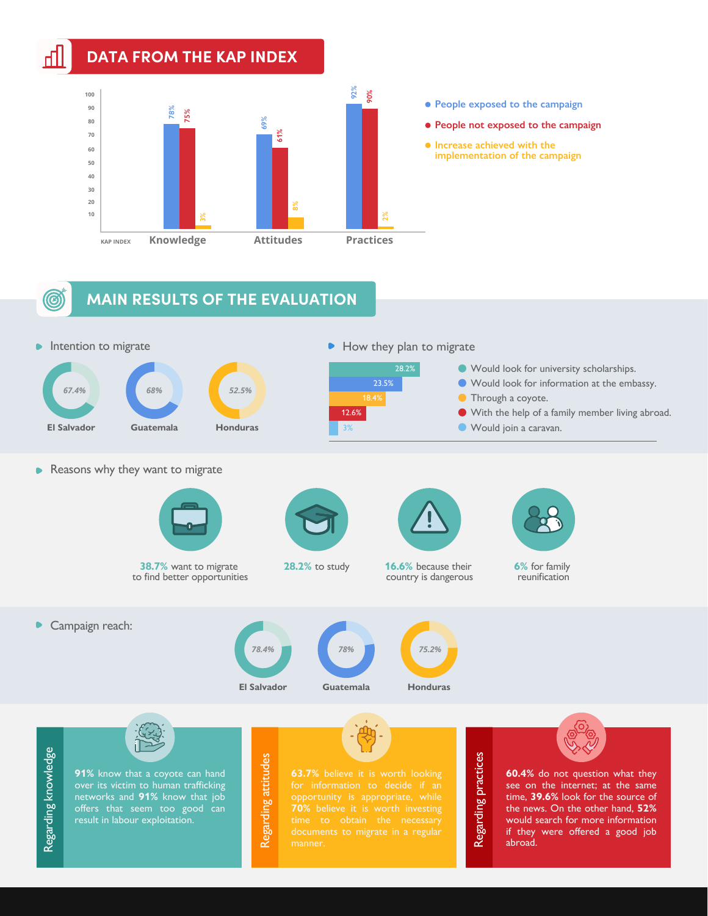#### **DATA FROM THE KAP INDEX**



- **People exposed to the campaign**
- **People not exposed to the campaign**
- $\bullet$  **Increase achieved with the implementation of the campaign**

#### **MAIN RESULTS OF THE EVALUATION**

**(ම)**